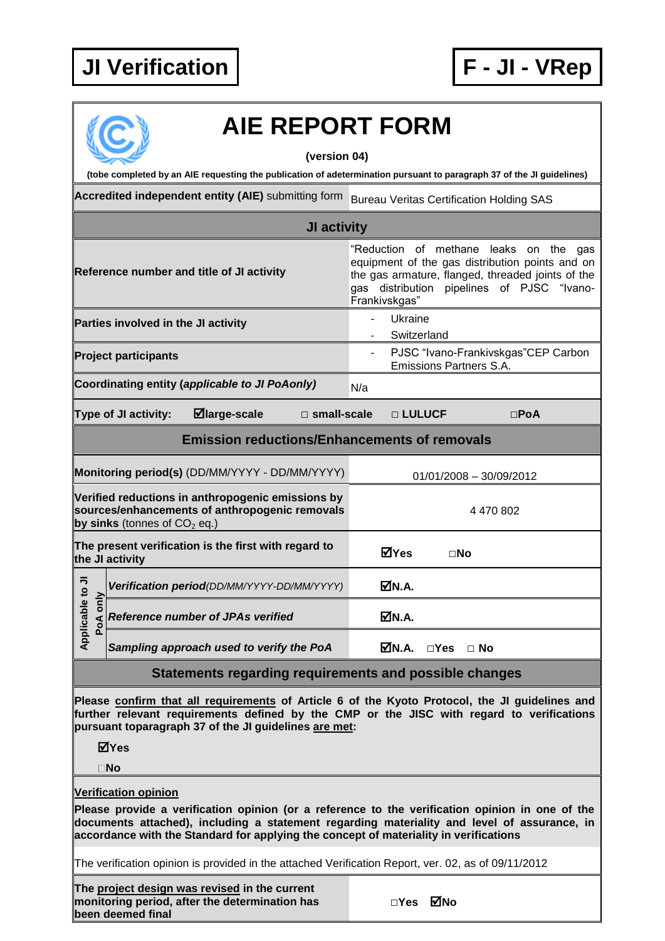## **JI Verification F - JI - VRep**



## **AIE REPORT FORM**

**(version 04)**

**(tobe completed by an AIE requesting the publication of adetermination pursuant to paragraph 37 of the JI guidelines)**

**Accredited independent entity (AIE)** submitting form Bureau Veritas Certification Holding SAS

| JI activity                                                                                                                                                                                                                                          |                                            |                                                |  |                                                                                                                                                                                                               |             |                                |                                     |  |
|------------------------------------------------------------------------------------------------------------------------------------------------------------------------------------------------------------------------------------------------------|--------------------------------------------|------------------------------------------------|--|---------------------------------------------------------------------------------------------------------------------------------------------------------------------------------------------------------------|-------------|--------------------------------|-------------------------------------|--|
| Reference number and title of JI activity                                                                                                                                                                                                            |                                            |                                                |  | "Reduction of methane leaks on the gas<br>equipment of the gas distribution points and on<br>the gas armature, flanged, threaded joints of the<br>gas distribution pipelines of PJSC "Ivano-<br>Frankivskgas" |             |                                |                                     |  |
| Parties involved in the JI activity                                                                                                                                                                                                                  |                                            |                                                |  |                                                                                                                                                                                                               | Ukraine     |                                |                                     |  |
|                                                                                                                                                                                                                                                      |                                            |                                                |  |                                                                                                                                                                                                               | Switzerland |                                |                                     |  |
| <b>Project participants</b>                                                                                                                                                                                                                          |                                            |                                                |  |                                                                                                                                                                                                               |             | <b>Emissions Partners S.A.</b> | PJSC "Ivano-Frankivskgas"CEP Carbon |  |
|                                                                                                                                                                                                                                                      |                                            | Coordinating entity (applicable to JI PoAonly) |  | N/a                                                                                                                                                                                                           |             |                                |                                     |  |
| <b>Type of JI activity:</b><br>⊠large-scale<br>$\square$ small-scale                                                                                                                                                                                 |                                            |                                                |  |                                                                                                                                                                                                               | □ LULUCF    |                                | $\square$ PoA                       |  |
| <b>Emission reductions/Enhancements of removals</b>                                                                                                                                                                                                  |                                            |                                                |  |                                                                                                                                                                                                               |             |                                |                                     |  |
| Monitoring period(s) (DD/MM/YYYY - DD/MM/YYYY)                                                                                                                                                                                                       |                                            |                                                |  | 01/01/2008 - 30/09/2012                                                                                                                                                                                       |             |                                |                                     |  |
| Verified reductions in anthropogenic emissions by<br>sources/enhancements of anthropogenic removals<br>by sinks (tonnes of $CO2$ eq.)                                                                                                                |                                            |                                                |  |                                                                                                                                                                                                               | 4 470 802   |                                |                                     |  |
| The present verification is the first with regard to<br>the JI activity                                                                                                                                                                              |                                            |                                                |  |                                                                                                                                                                                                               | ⊠Yes        | $\square$ No                   |                                     |  |
| Applicable to JI<br>PoA only                                                                                                                                                                                                                         | Verification period(DD/MM/YYYY-DD/MM/YYYY) |                                                |  |                                                                                                                                                                                                               | ØN.A.       |                                |                                     |  |
|                                                                                                                                                                                                                                                      | <b>Reference number of JPAs verified</b>   |                                                |  |                                                                                                                                                                                                               | ØN.A.       |                                |                                     |  |
|                                                                                                                                                                                                                                                      |                                            | Sampling approach used to verify the PoA       |  |                                                                                                                                                                                                               | MM.A.       | □Yes □ No                      |                                     |  |
| Statements regarding requirements and possible changes                                                                                                                                                                                               |                                            |                                                |  |                                                                                                                                                                                                               |             |                                |                                     |  |
| Please confirm that all requirements of Article 6 of the Kyoto Protocol, the JI guidelines and<br>further relevant requirements defined by the CMP or the JISC with regard to verifications<br>pursuant toparagraph 37 of the JI guidelines are met: |                                            |                                                |  |                                                                                                                                                                                                               |             |                                |                                     |  |

**Yes**

**No**

## **Verification opinion**

**Please provide a verification opinion (or a reference to the verification opinion in one of the documents attached), including a statement regarding materiality and level of assurance, in accordance with the Standard for applying the concept of materiality in verifications**

The verification opinion is provided in the attached Verification Report, ver. 02, as of 09/11/2012

**The project design was revised in the current monitoring period, after the determination has been deemed final**

| ⊠́№ |
|-----|
|     |